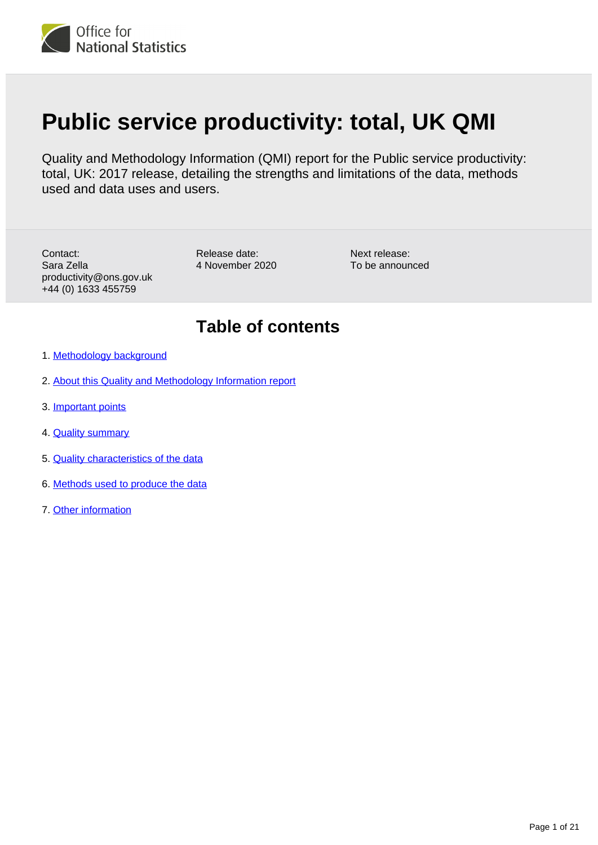

# **Public service productivity: total, UK QMI**

Quality and Methodology Information (QMI) report for the Public service productivity: total, UK: 2017 release, detailing the strengths and limitations of the data, methods used and data uses and users.

Contact: Sara Zella productivity@ons.gov.uk +44 (0) 1633 455759

Release date: 4 November 2020

Next release: To be announced

# **Table of contents**

- 1. [Methodology background](#page-1-0)
- 2. [About this Quality and Methodology Information report](#page-1-1)
- 3. [Important points](#page-1-2)
- 4. **[Quality summary](#page-1-3)**
- 5. [Quality characteristics of the data](#page-9-0)
- 6. [Methods used to produce the data](#page-13-0)
- 7. [Other information](#page-19-0)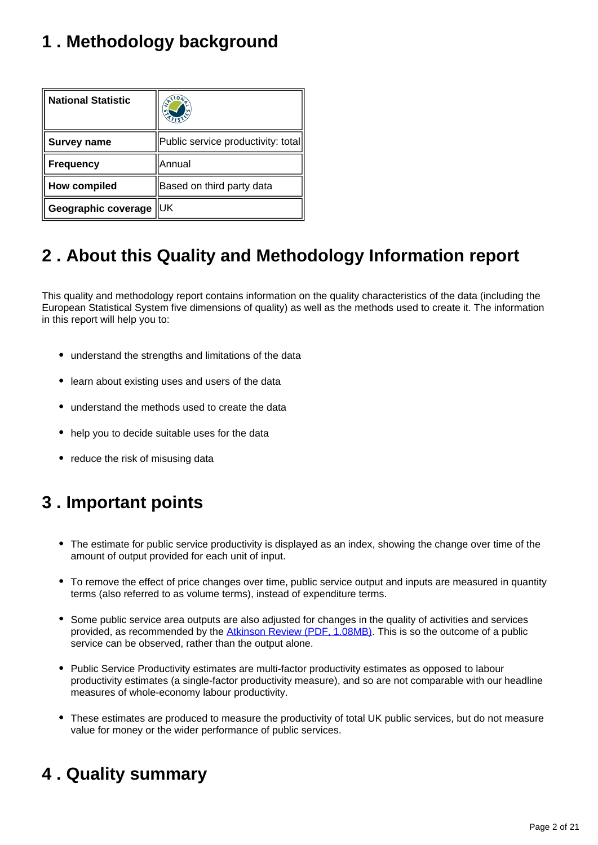# <span id="page-1-0"></span>**1 . Methodology background**

| <b>National Statistic</b> | <b>ANY</b>                         |
|---------------------------|------------------------------------|
| Survey name               | Public service productivity: total |
| <b>Frequency</b>          | lAnnual                            |
| <b>How compiled</b>       | Based on third party data          |
| Geographic coverage       | IUK                                |

# <span id="page-1-1"></span>**2 . About this Quality and Methodology Information report**

This quality and methodology report contains information on the quality characteristics of the data (including the European Statistical System five dimensions of quality) as well as the methods used to create it. The information in this report will help you to:

- understand the strengths and limitations of the data
- learn about existing uses and users of the data
- understand the methods used to create the data
- help you to decide suitable uses for the data
- reduce the risk of misusing data

# <span id="page-1-2"></span>**3 . Important points**

- The estimate for public service productivity is displayed as an index, showing the change over time of the amount of output provided for each unit of input.
- To remove the effect of price changes over time, public service output and inputs are measured in quantity terms (also referred to as volume terms), instead of expenditure terms.
- Some public service area outputs are also adjusted for changes in the quality of activities and services provided, as recommended by the **Atkinson Review (PDF, 1.08MB)**. This is so the outcome of a public service can be observed, rather than the output alone.
- Public Service Productivity estimates are multi-factor productivity estimates as opposed to labour productivity estimates (a single-factor productivity measure), and so are not comparable with our headline measures of whole-economy labour productivity.
- These estimates are produced to measure the productivity of total UK public services, but do not measure value for money or the wider performance of public services.

# <span id="page-1-3"></span>**4 . Quality summary**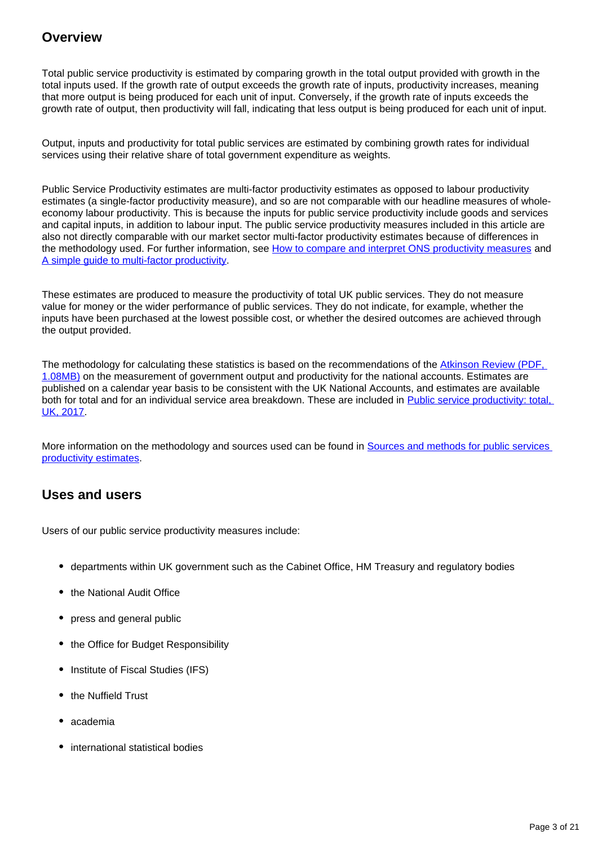## **Overview**

Total public service productivity is estimated by comparing growth in the total output provided with growth in the total inputs used. If the growth rate of output exceeds the growth rate of inputs, productivity increases, meaning that more output is being produced for each unit of input. Conversely, if the growth rate of inputs exceeds the growth rate of output, then productivity will fall, indicating that less output is being produced for each unit of input.

Output, inputs and productivity for total public services are estimated by combining growth rates for individual services using their relative share of total government expenditure as weights.

Public Service Productivity estimates are multi-factor productivity estimates as opposed to labour productivity estimates (a single-factor productivity measure), and so are not comparable with our headline measures of wholeeconomy labour productivity. This is because the inputs for public service productivity include goods and services and capital inputs, in addition to labour input. The public service productivity measures included in this article are also not directly comparable with our market sector multi-factor productivity estimates because of differences in the methodology used. For further information, see [How to compare and interpret ONS productivity measures](https://www.ons.gov.uk/economy/economicoutputandproductivity/publicservicesproductivity/methodologies/howtocompareandinterpretonsproductivitymeasures) and [A simple guide to multi-factor productivity.](https://www.ons.gov.uk/economy/economicoutputandproductivity/productivitymeasures/methodologies/asimpleguidetomultifactorproductivity)

These estimates are produced to measure the productivity of total UK public services. They do not measure value for money or the wider performance of public services. They do not indicate, for example, whether the inputs have been purchased at the lowest possible cost, or whether the desired outcomes are achieved through the output provided.

The methodology for calculating these statistics is based on the recommendations of the Atkinson Review (PDF, [1.08MB\)](http://www.ons.gov.uk/ons/guide-method/method-quality/specific/public-sector-methodology/articles/atkinson-review-final-report.pdf) on the measurement of government output and productivity for the national accounts. Estimates are published on a calendar year basis to be consistent with the UK National Accounts, and estimates are available both for total and for an individual service area breakdown. These are included in Public service productivity: total, [UK, 2017](https://www.ons.gov.uk/economy/economicoutputandproductivity/publicservicesproductivity/articles/publicservicesproductivityestimatestotalpublicservices/totaluk2017).

More information on the methodology and sources used can be found in Sources and methods for public services [productivity estimates.](https://www.ons.gov.uk/economy/economicoutputandproductivity/publicservicesproductivity/methodologies/sourcesandmethodsforpublicserviceproductivityestimates)

## **Uses and users**

Users of our public service productivity measures include:

- departments within UK government such as the Cabinet Office, HM Treasury and regulatory bodies
- the National Audit Office
- press and general public
- the Office for Budget Responsibility
- Institute of Fiscal Studies (IFS)
- the Nuffield Trust
- academia
- international statistical bodies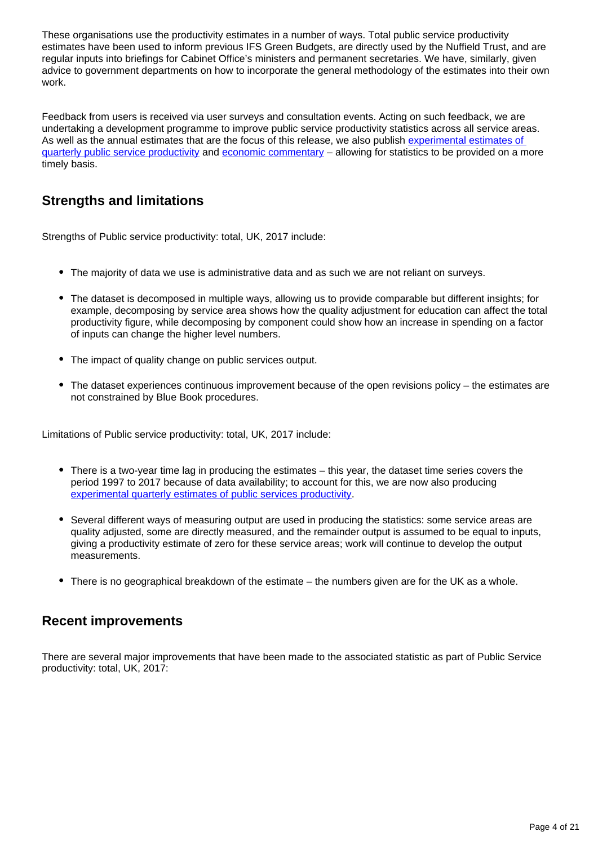These organisations use the productivity estimates in a number of ways. Total public service productivity estimates have been used to inform previous IFS Green Budgets, are directly used by the Nuffield Trust, and are regular inputs into briefings for Cabinet Office's ministers and permanent secretaries. We have, similarly, given advice to government departments on how to incorporate the general methodology of the estimates into their own work.

Feedback from users is received via user surveys and consultation events. Acting on such feedback, we are undertaking a development programme to improve public service productivity statistics across all service areas. As well as the annual estimates that are the focus of this release, we also publish [experimental estimates of](https://www.ons.gov.uk/employmentandlabourmarket/peopleinwork/labourproductivity/articles/quarterlypublicserviceproductivityexperimentalstatistics/quarterlyukoctobertodecember2019)  [quarterly public service productivity](https://www.ons.gov.uk/employmentandlabourmarket/peopleinwork/labourproductivity/articles/quarterlypublicserviceproductivityexperimentalstatistics/quarterlyukoctobertodecember2019) and [economic commentary](https://www.ons.gov.uk/employmentandlabourmarket/peopleinwork/labourproductivity/articles/ukproductivityintroduction/apriltojune2020) – allowing for statistics to be provided on a more timely basis.

# **Strengths and limitations**

Strengths of Public service productivity: total, UK, 2017 include:

- The majority of data we use is administrative data and as such we are not reliant on surveys.
- The dataset is decomposed in multiple ways, allowing us to provide comparable but different insights; for example, decomposing by service area shows how the quality adjustment for education can affect the total productivity figure, while decomposing by component could show how an increase in spending on a factor of inputs can change the higher level numbers.
- The impact of quality change on public services output.
- The dataset experiences continuous improvement because of the open revisions policy the estimates are not constrained by Blue Book procedures.

Limitations of Public service productivity: total, UK, 2017 include:

- There is a two-year time lag in producing the estimates this year, the dataset time series covers the period 1997 to 2017 because of data availability; to account for this, we are now also producing [experimental quarterly estimates of public services productivity](https://www.ons.gov.uk/employmentandlabourmarket/peopleinwork/labourproductivity/articles/ukproductivityintroduction/apriltojune2020).
- Several different ways of measuring output are used in producing the statistics: some service areas are quality adjusted, some are directly measured, and the remainder output is assumed to be equal to inputs, giving a productivity estimate of zero for these service areas; work will continue to develop the output measurements.
- There is no geographical breakdown of the estimate the numbers given are for the UK as a whole.

## **Recent improvements**

There are several major improvements that have been made to the associated statistic as part of Public Service productivity: total, UK, 2017: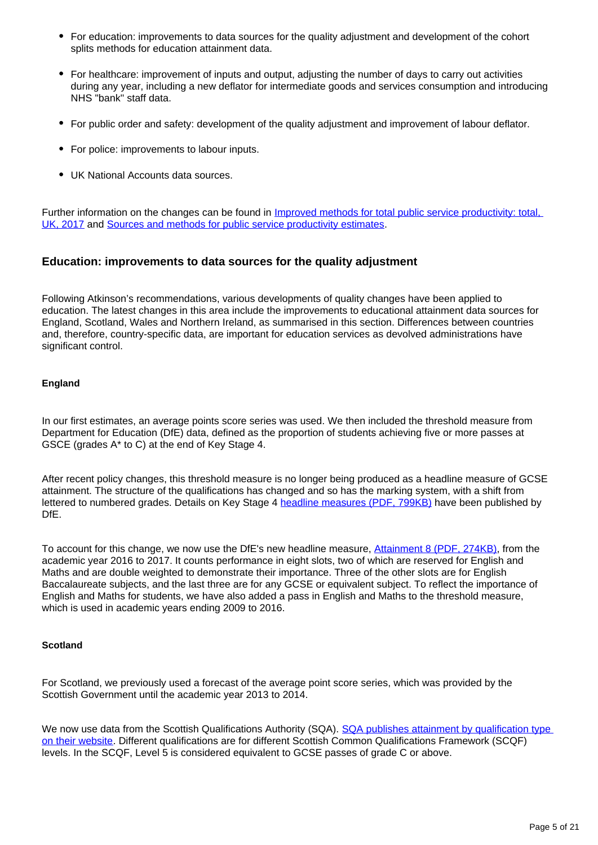- For education: improvements to data sources for the quality adjustment and development of the cohort splits methods for education attainment data.
- For healthcare: improvement of inputs and output, adjusting the number of days to carry out activities during any year, including a new deflator for intermediate goods and services consumption and introducing NHS "bank" staff data.
- For public order and safety: development of the quality adjustment and improvement of labour deflator.
- For police: improvements to labour inputs.
- UK National Accounts data sources.

Further information on the changes can be found in *Improved methods for total public service productivity: total,* [UK, 2017](https://www.ons.gov.uk/economy/economicoutputandproductivity/publicservicesproductivity/methodologies/improvedmethodsfortotalpublicserviceproductivitytotaluk2017) and [Sources and methods for public service productivity estimates.](https://www.ons.gov.uk/economy/economicoutputandproductivity/publicservicesproductivity/methodologies/sourcesandmethodsforpublicserviceproductivityestimates)

### **Education: improvements to data sources for the quality adjustment**

Following Atkinson's recommendations, various developments of quality changes have been applied to education. The latest changes in this area include the improvements to educational attainment data sources for England, Scotland, Wales and Northern Ireland, as summarised in this section. Differences between countries and, therefore, country-specific data, are important for education services as devolved administrations have significant control.

### **England**

In our first estimates, an average points score series was used. We then included the threshold measure from Department for Education (DfE) data, defined as the proportion of students achieving five or more passes at GSCE (grades A\* to C) at the end of Key Stage 4.

After recent policy changes, this threshold measure is no longer being produced as a headline measure of GCSE attainment. The structure of the qualifications has changed and so has the marking system, with a shift from lettered to numbered grades. Details on Key Stage 4 [headline measures \(PDF, 799KB\)](https://assets.publishing.service.gov.uk/government/uploads/system/uploads/attachment_data/file/840275/Secondary_accountability_measures_guidance__-_October_2019_final_with_ref.pdf) have been published by DfE.

To account for this change, we now use the DfE's new headline measure, [Attainment 8 \(PDF, 274KB\),](https://assets.publishing.service.gov.uk/government/uploads/system/uploads/attachment_data/file/561021/Progress_8_and_Attainment_8_how_measures_are_calculated.pdf) from the academic year 2016 to 2017. It counts performance in eight slots, two of which are reserved for English and Maths and are double weighted to demonstrate their importance. Three of the other slots are for English Baccalaureate subjects, and the last three are for any GCSE or equivalent subject. To reflect the importance of English and Maths for students, we have also added a pass in English and Maths to the threshold measure, which is used in academic years ending 2009 to 2016.

#### **Scotland**

For Scotland, we previously used a forecast of the average point score series, which was provided by the Scottish Government until the academic year 2013 to 2014.

We now use data from the Scottish Qualifications Authority (SQA). SQA publishes attainment by qualification type [on their website.](https://www.sqa.org.uk/sqa/57518.8313.html) Different qualifications are for different Scottish Common Qualifications Framework (SCQF) levels. In the SCQF, Level 5 is considered equivalent to GCSE passes of grade C or above.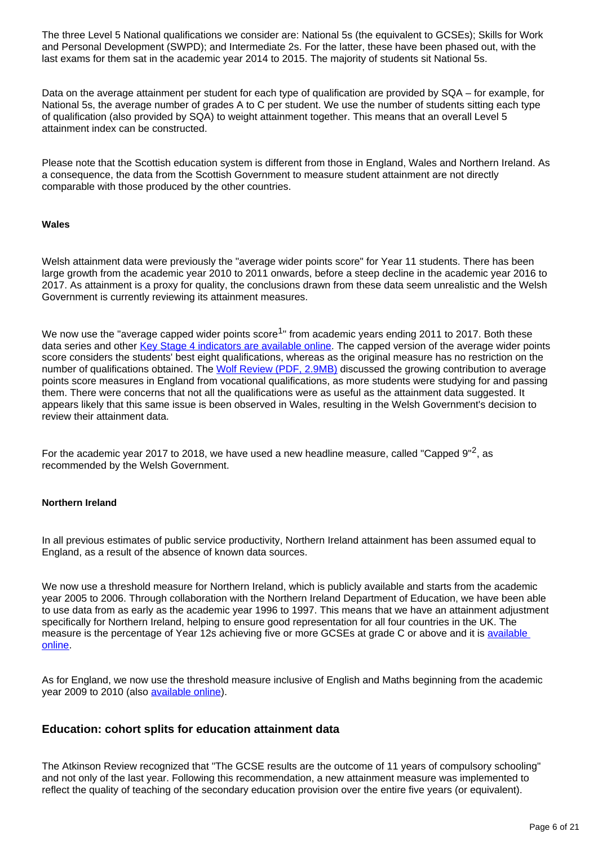The three Level 5 National qualifications we consider are: National 5s (the equivalent to GCSEs); Skills for Work and Personal Development (SWPD); and Intermediate 2s. For the latter, these have been phased out, with the last exams for them sat in the academic year 2014 to 2015. The majority of students sit National 5s.

Data on the average attainment per student for each type of qualification are provided by SQA – for example, for National 5s, the average number of grades A to C per student. We use the number of students sitting each type of qualification (also provided by SQA) to weight attainment together. This means that an overall Level 5 attainment index can be constructed.

Please note that the Scottish education system is different from those in England, Wales and Northern Ireland. As a consequence, the data from the Scottish Government to measure student attainment are not directly comparable with those produced by the other countries.

#### **Wales**

Welsh attainment data were previously the "average wider points score" for Year 11 students. There has been large growth from the academic year 2010 to 2011 onwards, before a steep decline in the academic year 2016 to 2017. As attainment is a proxy for quality, the conclusions drawn from these data seem unrealistic and the Welsh Government is currently reviewing its attainment measures.

We now use the "average capped wider points score<sup>1</sup>" from academic years ending 2011 to 2017. Both these data series and other [Key Stage 4 indicators are available online](https://gov.wales/examination-results). The capped version of the average wider points score considers the students' best eight qualifications, whereas as the original measure has no restriction on the number of qualifications obtained. The [Wolf Review \(PDF, 2.9MB\)](https://assets.publishing.service.gov.uk/government/uploads/system/uploads/attachment_data/file/180504/DFE-00031-2011.pdf) discussed the growing contribution to average points score measures in England from vocational qualifications, as more students were studying for and passing them. There were concerns that not all the qualifications were as useful as the attainment data suggested. It appears likely that this same issue is been observed in Wales, resulting in the Welsh Government's decision to review their attainment data.

For the academic year 2017 to 2018, we have used a new headline measure, called "Capped  $9''^2$ , as recommended by the Welsh Government.

#### **Northern Ireland**

In all previous estimates of public service productivity, Northern Ireland attainment has been assumed equal to England, as a result of the absence of known data sources.

We now use a threshold measure for Northern Ireland, which is publicly available and starts from the academic year 2005 to 2006. Through collaboration with the Northern Ireland Department of Education, we have been able to use data from as early as the academic year 1996 to 1997. This means that we have an attainment adjustment specifically for Northern Ireland, helping to ensure good representation for all four countries in the UK. The measure is the percentage of Year 12s achieving five or more GCSEs at grade C or above and it is available [online.](http://www.education-ni.gov.uk/articles/school-performance)

As for England, we now use the threshold measure inclusive of English and Maths beginning from the academic year 2009 to 2010 (also [available online](https://www.education-ni.gov.uk/articles/school-performance)).

#### **Education: cohort splits for education attainment data**

The Atkinson Review recognized that "The GCSE results are the outcome of 11 years of compulsory schooling" and not only of the last year. Following this recommendation, a new attainment measure was implemented to reflect the quality of teaching of the secondary education provision over the entire five years (or equivalent).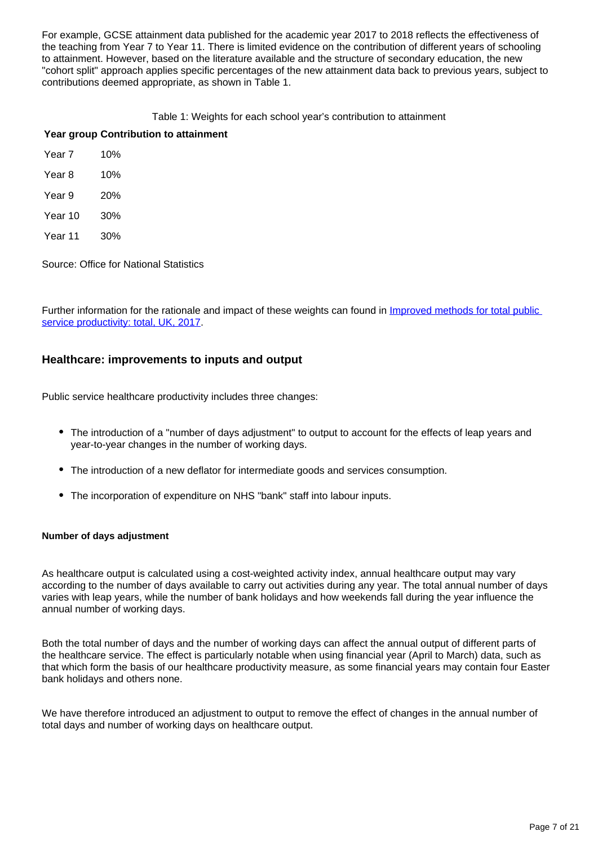For example, GCSE attainment data published for the academic year 2017 to 2018 reflects the effectiveness of the teaching from Year 7 to Year 11. There is limited evidence on the contribution of different years of schooling to attainment. However, based on the literature available and the structure of secondary education, the new "cohort split" approach applies specific percentages of the new attainment data back to previous years, subject to contributions deemed appropriate, as shown in Table 1.

#### Table 1: Weights for each school year's contribution to attainment

#### **Year group Contribution to attainment**

| Year 7 | 10% |
|--------|-----|
|        |     |

- Year 8 10% Year 9 20%
- Year 10 30%
- Year 11 30%

Source: Office for National Statistics

Further information for the rationale and impact of these weights can found in Improved methods for total public [service productivity: total, UK, 2017.](https://www.ons.gov.uk/economy/economicoutputandproductivity/publicservicesproductivity/methodologies/improvedmethodsfortotalpublicserviceproductivitytotaluk2017)

### **Healthcare: improvements to inputs and output**

Public service healthcare productivity includes three changes:

- The introduction of a "number of days adjustment" to output to account for the effects of leap years and year-to-year changes in the number of working days.
- The introduction of a new deflator for intermediate goods and services consumption.
- The incorporation of expenditure on NHS "bank" staff into labour inputs.

#### **Number of days adjustment**

As healthcare output is calculated using a cost-weighted activity index, annual healthcare output may vary according to the number of days available to carry out activities during any year. The total annual number of days varies with leap years, while the number of bank holidays and how weekends fall during the year influence the annual number of working days.

Both the total number of days and the number of working days can affect the annual output of different parts of the healthcare service. The effect is particularly notable when using financial year (April to March) data, such as that which form the basis of our healthcare productivity measure, as some financial years may contain four Easter bank holidays and others none.

We have therefore introduced an adjustment to output to remove the effect of changes in the annual number of total days and number of working days on healthcare output.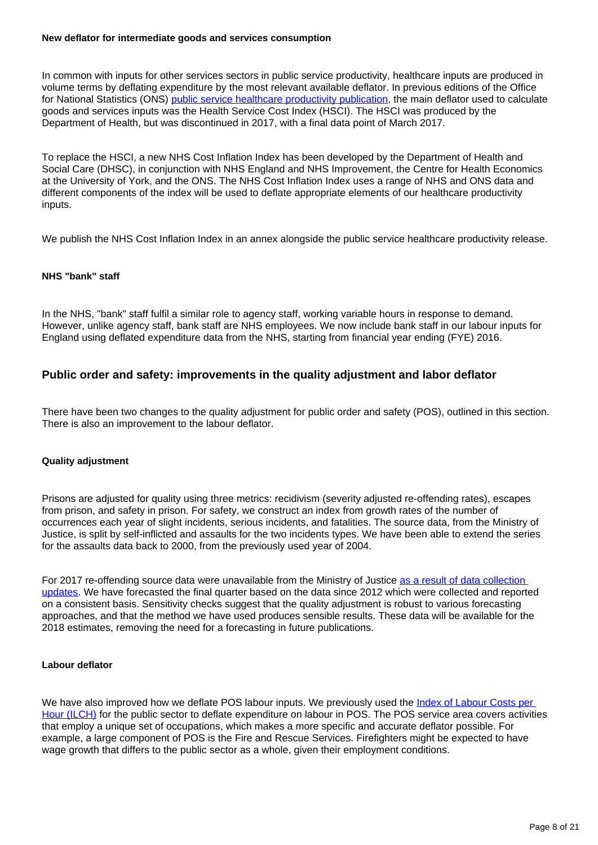#### **New deflator for intermediate goods and services consumption**

In common with inputs for other services sectors in public service productivity, healthcare inputs are produced in volume terms by deflating expenditure by the most relevant available deflator. In previous editions of the Office for National Statistics (ONS) [public service healthcare productivity publication](https://www.ons.gov.uk/economy/economicoutputandproductivity/publicservicesproductivity/articles/publicservicesproductivityestimateshealthcare/latest), the main deflator used to calculate goods and services inputs was the Health Service Cost Index (HSCI). The HSCI was produced by the Department of Health, but was discontinued in 2017, with a final data point of March 2017.

To replace the HSCI, a new NHS Cost Inflation Index has been developed by the Department of Health and Social Care (DHSC), in conjunction with NHS England and NHS Improvement, the Centre for Health Economics at the University of York, and the ONS. The NHS Cost Inflation Index uses a range of NHS and ONS data and different components of the index will be used to deflate appropriate elements of our healthcare productivity inputs.

We publish the NHS Cost Inflation Index in an annex alongside the public service healthcare productivity release.

#### **NHS "bank" staff**

In the NHS, "bank" staff fulfil a similar role to agency staff, working variable hours in response to demand. However, unlike agency staff, bank staff are NHS employees. We now include bank staff in our labour inputs for England using deflated expenditure data from the NHS, starting from financial year ending (FYE) 2016.

### **Public order and safety: improvements in the quality adjustment and labor deflator**

There have been two changes to the quality adjustment for public order and safety (POS), outlined in this section. There is also an improvement to the labour deflator.

#### **Quality adjustment**

Prisons are adjusted for quality using three metrics: recidivism (severity adjusted re-offending rates), escapes from prison, and safety in prison. For safety, we construct an index from growth rates of the number of occurrences each year of slight incidents, serious incidents, and fatalities. The source data, from the Ministry of Justice, is split by self-inflicted and assaults for the two incidents types. We have been able to extend the series for the assaults data back to 2000, from the previously used year of 2004.

For 2017 re-offending source data were unavailable from the Ministry of Justice [as a result of data collection](https://www.gov.uk/government/statistics/announcements/proven-reoffending-statistics-october-to-december-2017)  [updates.](https://www.gov.uk/government/statistics/announcements/proven-reoffending-statistics-october-to-december-2017) We have forecasted the final quarter based on the data since 2012 which were collected and reported on a consistent basis. Sensitivity checks suggest that the quality adjustment is robust to various forecasting approaches, and that the method we have used produces sensible results. These data will be available for the 2018 estimates, removing the need for a forecasting in future publications.

#### **Labour deflator**

We have also improved how we deflate POS labour inputs. We previously used the Index of Labour Costs per [Hour \(ILCH\)](https://www.ons.gov.uk/employmentandlabourmarket/peopleinwork/earningsandworkinghours/bulletins/indexoflabourcostsperhourilch/latest) for the public sector to deflate expenditure on labour in POS. The POS service area covers activities that employ a unique set of occupations, which makes a more specific and accurate deflator possible. For example, a large component of POS is the Fire and Rescue Services. Firefighters might be expected to have wage growth that differs to the public sector as a whole, given their employment conditions.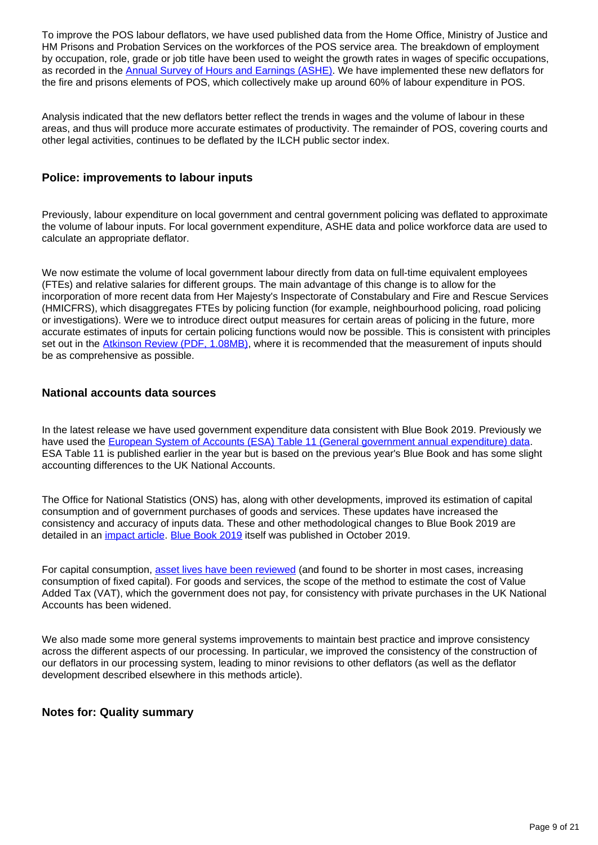To improve the POS labour deflators, we have used published data from the Home Office, Ministry of Justice and HM Prisons and Probation Services on the workforces of the POS service area. The breakdown of employment by occupation, role, grade or job title have been used to weight the growth rates in wages of specific occupations, as recorded in the [Annual Survey of Hours and Earnings \(ASHE\).](http://www.ons.gov.uk/employmentandlabourmarket/peopleinwork/earningsandworkinghours) We have implemented these new deflators for the fire and prisons elements of POS, which collectively make up around 60% of labour expenditure in POS.

Analysis indicated that the new deflators better reflect the trends in wages and the volume of labour in these areas, and thus will produce more accurate estimates of productivity. The remainder of POS, covering courts and other legal activities, continues to be deflated by the ILCH public sector index.

### **Police: improvements to labour inputs**

Previously, labour expenditure on local government and central government policing was deflated to approximate the volume of labour inputs. For local government expenditure, ASHE data and police workforce data are used to calculate an appropriate deflator.

We now estimate the volume of local government labour directly from data on full-time equivalent employees (FTEs) and relative salaries for different groups. The main advantage of this change is to allow for the incorporation of more recent data from Her Majesty's Inspectorate of Constabulary and Fire and Rescue Services (HMICFRS), which disaggregates FTEs by policing function (for example, neighbourhood policing, road policing or investigations). Were we to introduce direct output measures for certain areas of policing in the future, more accurate estimates of inputs for certain policing functions would now be possible. This is consistent with principles set out in the [Atkinson Review \(PDF, 1.08MB\)](https://webarchive.nationalarchives.gov.uk/20160106223636/http:/www.ons.gov.uk/ons/guide-method/method-quality/specific/public-sector-methodology/articles/atkinson-review-final-report.pdf), where it is recommended that the measurement of inputs should be as comprehensive as possible.

### **National accounts data sources**

In the latest release we have used government expenditure data consistent with Blue Book 2019. Previously we have used the [European System of Accounts \(ESA\) Table 11 \(General government annual expenditure\) data.](https://www.ons.gov.uk/economy/governmentpublicsectorandtaxes/publicspending/datasets/esatable11annualexpenditureofgeneralgovernment) ESA Table 11 is published earlier in the year but is based on the previous year's Blue Book and has some slight accounting differences to the UK National Accounts.

The Office for National Statistics (ONS) has, along with other developments, improved its estimation of capital consumption and of government purchases of goods and services. These updates have increased the consistency and accuracy of inputs data. These and other methodological changes to Blue Book 2019 are detailed in an *[impact article](https://www.ons.gov.uk/economy/nationalaccounts/uksectoraccounts/articles/nationalaccountsarticles/bluebook2019indicativeimpactsongdpcurrentpriceandchainedvolumemeasureestimates1997to2016)*. [Blue Book 2019](https://www.ons.gov.uk/economy/grossdomesticproductgdp/compendium/unitedkingdomnationalaccountsthebluebook/2019) itself was published in October 2019.

For capital consumption, [asset lives have been reviewed](https://www.ons.gov.uk/economy/nationalaccounts/uksectoraccounts/articles/nationalaccountsarticles/changestothecapitalstockestimationmethodsforbluebook2019) (and found to be shorter in most cases, increasing consumption of fixed capital). For goods and services, the scope of the method to estimate the cost of Value Added Tax (VAT), which the government does not pay, for consistency with private purchases in the UK National Accounts has been widened.

We also made some more general systems improvements to maintain best practice and improve consistency across the different aspects of our processing. In particular, we improved the consistency of the construction of our deflators in our processing system, leading to minor revisions to other deflators (as well as the deflator development described elsewhere in this methods article).

#### **Notes for: Quality summary**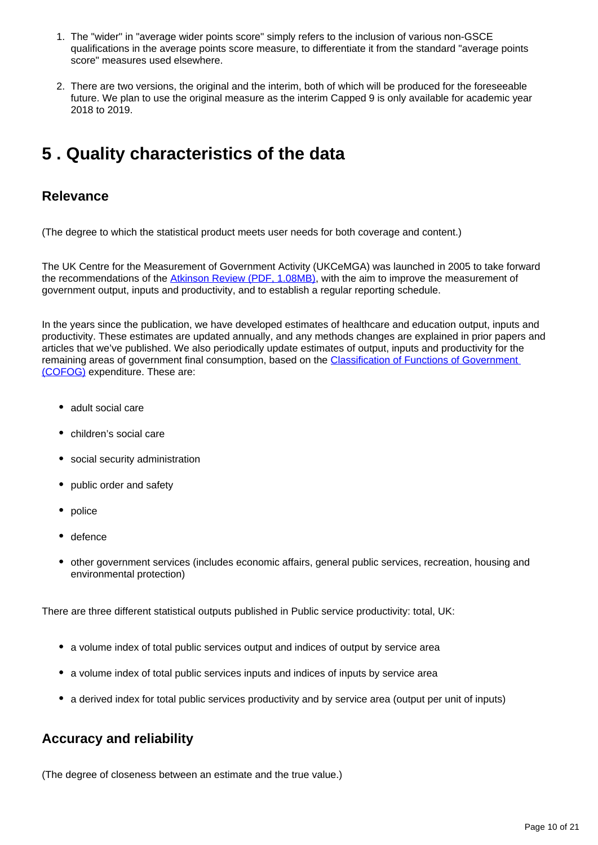- 1. The "wider" in "average wider points score" simply refers to the inclusion of various non-GSCE qualifications in the average points score measure, to differentiate it from the standard "average points score" measures used elsewhere.
- 2. There are two versions, the original and the interim, both of which will be produced for the foreseeable future. We plan to use the original measure as the interim Capped 9 is only available for academic year 2018 to 2019.

# <span id="page-9-0"></span>**5 . Quality characteristics of the data**

### **Relevance**

(The degree to which the statistical product meets user needs for both coverage and content.)

The UK Centre for the Measurement of Government Activity (UKCeMGA) was launched in 2005 to take forward the recommendations of the [Atkinson Review \(PDF, 1.08MB\)](http://www.ons.gov.uk/ons/guide-method/method-quality/specific/public-sector-methodology/articles/atkinson-review-final-report.pdf), with the aim to improve the measurement of government output, inputs and productivity, and to establish a regular reporting schedule.

In the years since the publication, we have developed estimates of healthcare and education output, inputs and productivity. These estimates are updated annually, and any methods changes are explained in prior papers and articles that we've published. We also periodically update estimates of output, inputs and productivity for the remaining areas of government final consumption, based on the [Classification of Functions of Government](https://ec.europa.eu/eurostat/statistics-explained/index.php?title=Glossary:Classification_of_the_functions_of_government_(COFOG))  [\(COFOG\)](https://ec.europa.eu/eurostat/statistics-explained/index.php?title=Glossary:Classification_of_the_functions_of_government_(COFOG)) expenditure. These are:

- adult social care
- children's social care
- social security administration
- public order and safety
- police
- defence
- other government services (includes economic affairs, general public services, recreation, housing and environmental protection)

There are three different statistical outputs published in Public service productivity: total, UK:

- a volume index of total public services output and indices of output by service area
- a volume index of total public services inputs and indices of inputs by service area
- a derived index for total public services productivity and by service area (output per unit of inputs)

# **Accuracy and reliability**

(The degree of closeness between an estimate and the true value.)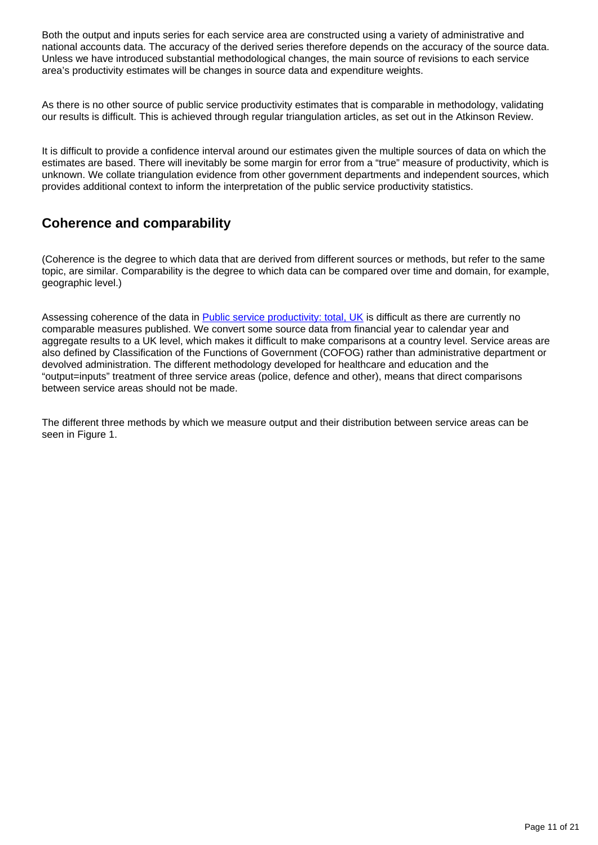Both the output and inputs series for each service area are constructed using a variety of administrative and national accounts data. The accuracy of the derived series therefore depends on the accuracy of the source data. Unless we have introduced substantial methodological changes, the main source of revisions to each service area's productivity estimates will be changes in source data and expenditure weights.

As there is no other source of public service productivity estimates that is comparable in methodology, validating our results is difficult. This is achieved through regular triangulation articles, as set out in the Atkinson Review.

It is difficult to provide a confidence interval around our estimates given the multiple sources of data on which the estimates are based. There will inevitably be some margin for error from a "true" measure of productivity, which is unknown. We collate triangulation evidence from other government departments and independent sources, which provides additional context to inform the interpretation of the public service productivity statistics.

# **Coherence and comparability**

(Coherence is the degree to which data that are derived from different sources or methods, but refer to the same topic, are similar. Comparability is the degree to which data can be compared over time and domain, for example, geographic level.)

Assessing coherence of the data in [Public service productivity: total, UK](https://www.ons.gov.uk/economy/economicoutputandproductivity/publicservicesproductivity/articles/publicservicesproductivityestimatestotalpublicservices/previousReleases) is difficult as there are currently no comparable measures published. We convert some source data from financial year to calendar year and aggregate results to a UK level, which makes it difficult to make comparisons at a country level. Service areas are also defined by Classification of the Functions of Government (COFOG) rather than administrative department or devolved administration. The different methodology developed for healthcare and education and the "output=inputs" treatment of three service areas (police, defence and other), means that direct comparisons between service areas should not be made.

The different three methods by which we measure output and their distribution between service areas can be seen in Figure 1.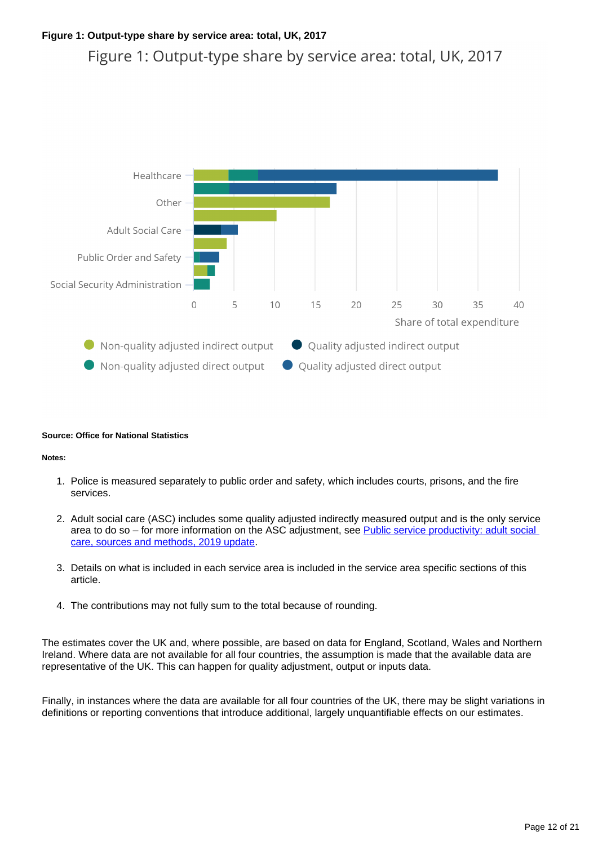### **Figure 1: Output-type share by service area: total, UK, 2017**

Figure 1: Output-type share by service area: total, UK, 2017



#### **Source: Office for National Statistics**

#### **Notes:**

- 1. Police is measured separately to public order and safety, which includes courts, prisons, and the fire services.
- 2. Adult social care (ASC) includes some quality adjusted indirectly measured output and is the only service area to do so – for more information on the ASC adjustment, see Public service productivity: adult social [care, sources and methods, 2019 update.](https://www.ons.gov.uk/economy/economicoutputandproductivity/publicservicesproductivity/methodologies/publicserviceproductivityadultsocialcaresourcesandmethods2019update)
- 3. Details on what is included in each service area is included in the service area specific sections of this article.
- 4. The contributions may not fully sum to the total because of rounding.

The estimates cover the UK and, where possible, are based on data for England, Scotland, Wales and Northern Ireland. Where data are not available for all four countries, the assumption is made that the available data are representative of the UK. This can happen for quality adjustment, output or inputs data.

Finally, in instances where the data are available for all four countries of the UK, there may be slight variations in definitions or reporting conventions that introduce additional, largely unquantifiable effects on our estimates.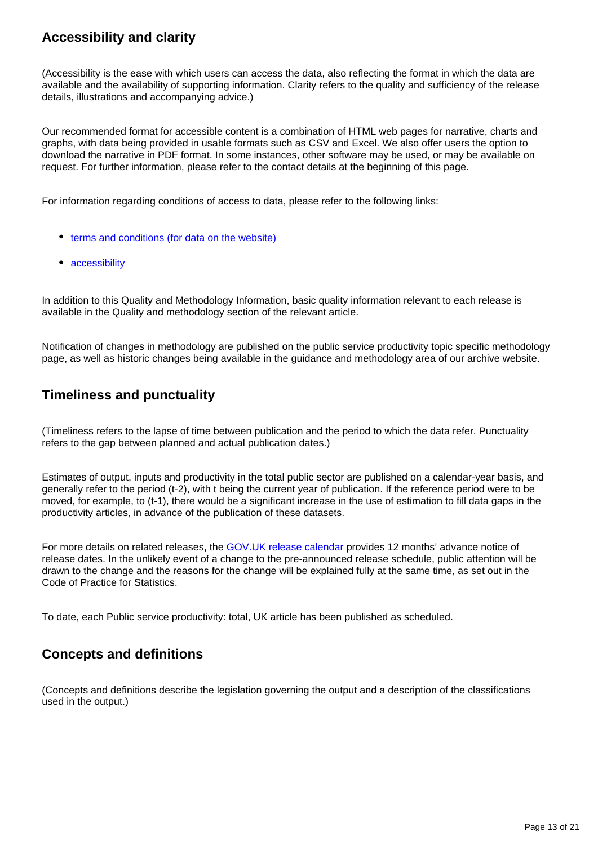# **Accessibility and clarity**

(Accessibility is the ease with which users can access the data, also reflecting the format in which the data are available and the availability of supporting information. Clarity refers to the quality and sufficiency of the release details, illustrations and accompanying advice.)

Our recommended format for accessible content is a combination of HTML web pages for narrative, charts and graphs, with data being provided in usable formats such as CSV and Excel. We also offer users the option to download the narrative in PDF format. In some instances, other software may be used, or may be available on request. For further information, please refer to the contact details at the beginning of this page.

For information regarding conditions of access to data, please refer to the following links:

- $\bullet$  [terms and conditions \(for data on the website\)](https://www.ons.gov.uk/help/termsandconditions)
- [accessibility](https://www.ons.gov.uk/help/accessibility)

In addition to this Quality and Methodology Information, basic quality information relevant to each release is available in the Quality and methodology section of the relevant article.

Notification of changes in methodology are published on the public service productivity topic specific methodology page, as well as historic changes being available in the guidance and methodology area of our archive website.

## **Timeliness and punctuality**

(Timeliness refers to the lapse of time between publication and the period to which the data refer. Punctuality refers to the gap between planned and actual publication dates.)

Estimates of output, inputs and productivity in the total public sector are published on a calendar-year basis, and generally refer to the period (t-2), with t being the current year of publication. If the reference period were to be moved, for example, to (t-1), there would be a significant increase in the use of estimation to fill data gaps in the productivity articles, in advance of the publication of these datasets.

For more details on related releases, the [GOV.UK release calendar](https://www.gov.uk/government/statistics/announcements) provides 12 months' advance notice of release dates. In the unlikely event of a change to the pre-announced release schedule, public attention will be drawn to the change and the reasons for the change will be explained fully at the same time, as set out in the Code of Practice for Statistics.

To date, each Public service productivity: total, UK article has been published as scheduled.

# **Concepts and definitions**

(Concepts and definitions describe the legislation governing the output and a description of the classifications used in the output.)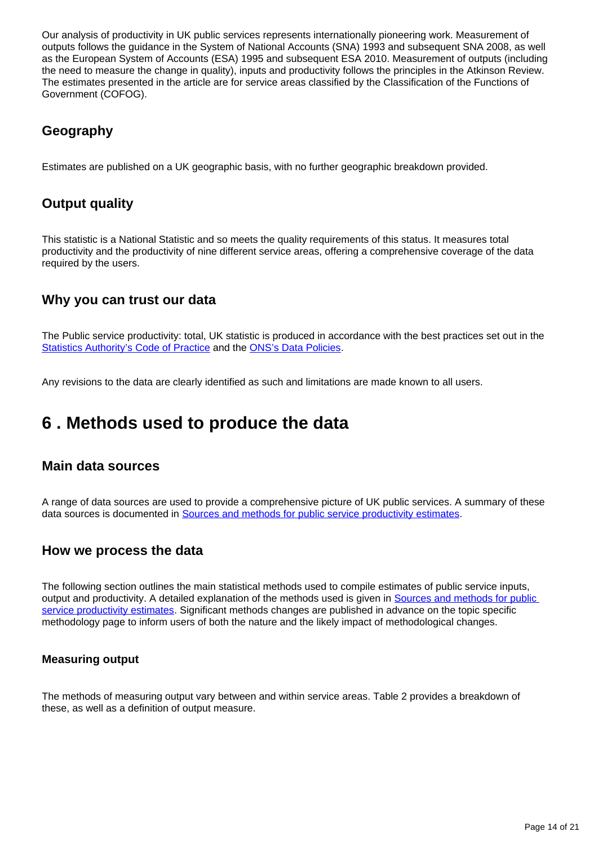Our analysis of productivity in UK public services represents internationally pioneering work. Measurement of outputs follows the guidance in the System of National Accounts (SNA) 1993 and subsequent SNA 2008, as well as the European System of Accounts (ESA) 1995 and subsequent ESA 2010. Measurement of outputs (including the need to measure the change in quality), inputs and productivity follows the principles in the Atkinson Review. The estimates presented in the article are for service areas classified by the Classification of the Functions of Government (COFOG).

# **Geography**

Estimates are published on a UK geographic basis, with no further geographic breakdown provided.

# **Output quality**

This statistic is a National Statistic and so meets the quality requirements of this status. It measures total productivity and the productivity of nine different service areas, offering a comprehensive coverage of the data required by the users.

## **Why you can trust our data**

The Public service productivity: total, UK statistic is produced in accordance with the best practices set out in the [Statistics Authority's Code of Practice](https://www.statisticsauthority.gov.uk/code-of-practice/) and the [ONS's Data Policies.](https://www.ons.gov.uk/aboutus/transparencyandgovernance/onsdatapolicies)

Any revisions to the data are clearly identified as such and limitations are made known to all users.

# <span id="page-13-0"></span>**6 . Methods used to produce the data**

### **Main data sources**

A range of data sources are used to provide a comprehensive picture of UK public services. A summary of these data sources is documented in [Sources and methods for public service productivity estimates.](https://www.ons.gov.uk/economy/economicoutputandproductivity/publicservicesproductivity/methodologies/sourcesandmethodsforpublicserviceproductivityestimates)

## **How we process the data**

The following section outlines the main statistical methods used to compile estimates of public service inputs, output and productivity. A detailed explanation of the methods used is given in Sources and methods for public [service productivity estimates.](https://www.ons.gov.uk/economy/economicoutputandproductivity/publicservicesproductivity/methodologies/sourcesandmethodsforpublicserviceproductivityestimates) Significant methods changes are published in advance on the topic specific methodology page to inform users of both the nature and the likely impact of methodological changes.

### **Measuring output**

The methods of measuring output vary between and within service areas. Table 2 provides a breakdown of these, as well as a definition of output measure.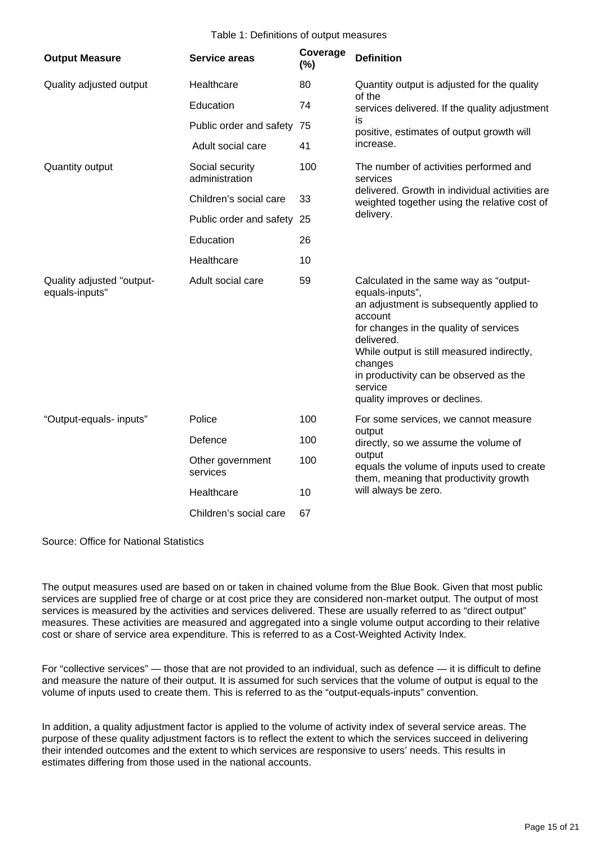#### Table 1: Definitions of output measures

| <b>Output Measure</b>                       | <b>Service areas</b>              | Coverage<br>(%) | <b>Definition</b>                                                                                                                                                                                                                                                                                                       |
|---------------------------------------------|-----------------------------------|-----------------|-------------------------------------------------------------------------------------------------------------------------------------------------------------------------------------------------------------------------------------------------------------------------------------------------------------------------|
| Quality adjusted output                     | Healthcare                        | 80              | Quantity output is adjusted for the quality<br>of the<br>services delivered. If the quality adjustment<br>is<br>positive, estimates of output growth will<br>increase.                                                                                                                                                  |
|                                             | Education                         | 74              |                                                                                                                                                                                                                                                                                                                         |
|                                             | Public order and safety 75        |                 |                                                                                                                                                                                                                                                                                                                         |
|                                             | Adult social care                 | 41              |                                                                                                                                                                                                                                                                                                                         |
| Quantity output                             | Social security<br>administration | 100             | The number of activities performed and<br>services<br>delivered. Growth in individual activities are<br>weighted together using the relative cost of<br>delivery.                                                                                                                                                       |
|                                             | Children's social care            | 33              |                                                                                                                                                                                                                                                                                                                         |
|                                             | Public order and safety 25        |                 |                                                                                                                                                                                                                                                                                                                         |
|                                             | Education                         | 26              |                                                                                                                                                                                                                                                                                                                         |
|                                             | Healthcare                        | 10              |                                                                                                                                                                                                                                                                                                                         |
| Quality adjusted "output-<br>equals-inputs" | Adult social care                 | 59              | Calculated in the same way as "output-<br>equals-inputs",<br>an adjustment is subsequently applied to<br>account<br>for changes in the quality of services<br>delivered.<br>While output is still measured indirectly,<br>changes<br>in productivity can be observed as the<br>service<br>quality improves or declines. |
| "Output-equals- inputs"                     | Police                            | 100             | For some services, we cannot measure<br>output<br>directly, so we assume the volume of<br>output<br>equals the volume of inputs used to create<br>them, meaning that productivity growth<br>will always be zero.                                                                                                        |
|                                             | Defence                           | 100             |                                                                                                                                                                                                                                                                                                                         |
|                                             | Other government<br>services      | 100             |                                                                                                                                                                                                                                                                                                                         |
|                                             | Healthcare                        | 10              |                                                                                                                                                                                                                                                                                                                         |
|                                             | Children's social care            | 67              |                                                                                                                                                                                                                                                                                                                         |

Source: Office for National Statistics

The output measures used are based on or taken in chained volume from the Blue Book. Given that most public services are supplied free of charge or at cost price they are considered non-market output. The output of most services is measured by the activities and services delivered. These are usually referred to as "direct output" measures. These activities are measured and aggregated into a single volume output according to their relative cost or share of service area expenditure. This is referred to as a Cost-Weighted Activity Index.

For "collective services" — those that are not provided to an individual, such as defence — it is difficult to define and measure the nature of their output. It is assumed for such services that the volume of output is equal to the volume of inputs used to create them. This is referred to as the "output-equals-inputs" convention.

In addition, a quality adjustment factor is applied to the volume of activity index of several service areas. The purpose of these quality adjustment factors is to reflect the extent to which the services succeed in delivering their intended outcomes and the extent to which services are responsive to users' needs. This results in estimates differing from those used in the national accounts.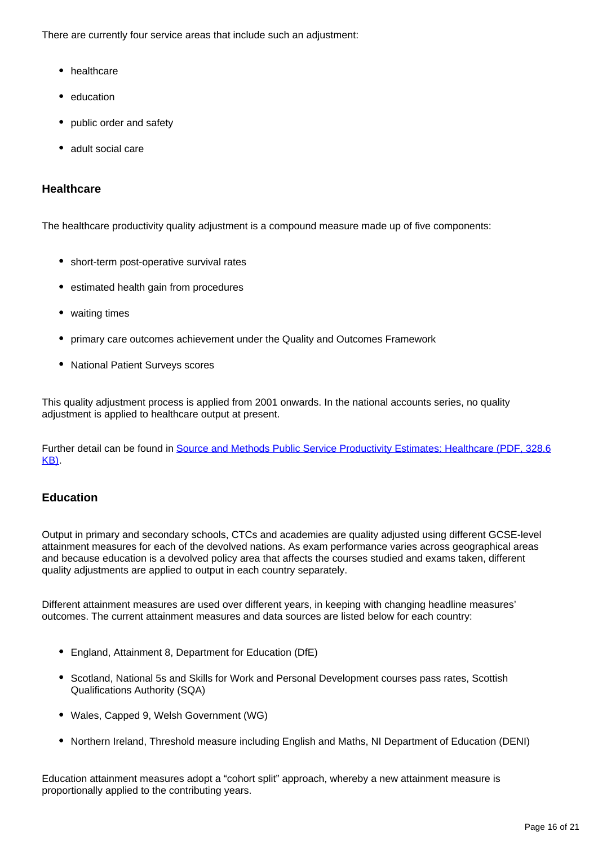There are currently four service areas that include such an adjustment:

- healthcare
- education
- public order and safety
- adult social care

### **Healthcare**

The healthcare productivity quality adjustment is a compound measure made up of five components:

- short-term post-operative survival rates
- estimated health gain from procedures
- waiting times
- primary care outcomes achievement under the Quality and Outcomes Framework
- National Patient Surveys scores

This quality adjustment process is applied from 2001 onwards. In the national accounts series, no quality adjustment is applied to healthcare output at present.

Further detail can be found in [Source and Methods Public Service Productivity Estimates: Healthcare \(PDF, 328.6](http://www.ons.gov.uk/ons/guide-method/method-quality/specific/public-sector-methodology/articles/public-service-productivity-estimates--healthcare.pdf) [KB\).](http://www.ons.gov.uk/ons/guide-method/method-quality/specific/public-sector-methodology/articles/public-service-productivity-estimates--healthcare.pdf)

### **Education**

Output in primary and secondary schools, CTCs and academies are quality adjusted using different GCSE-level attainment measures for each of the devolved nations. As exam performance varies across geographical areas and because education is a devolved policy area that affects the courses studied and exams taken, different quality adjustments are applied to output in each country separately.

Different attainment measures are used over different years, in keeping with changing headline measures' outcomes. The current attainment measures and data sources are listed below for each country:

- England, Attainment 8, Department for Education (DfE)
- Scotland, National 5s and Skills for Work and Personal Development courses pass rates, Scottish Qualifications Authority (SQA)
- Wales, Capped 9, Welsh Government (WG)
- Northern Ireland, Threshold measure including English and Maths, NI Department of Education (DENI)

Education attainment measures adopt a "cohort split" approach, whereby a new attainment measure is proportionally applied to the contributing years.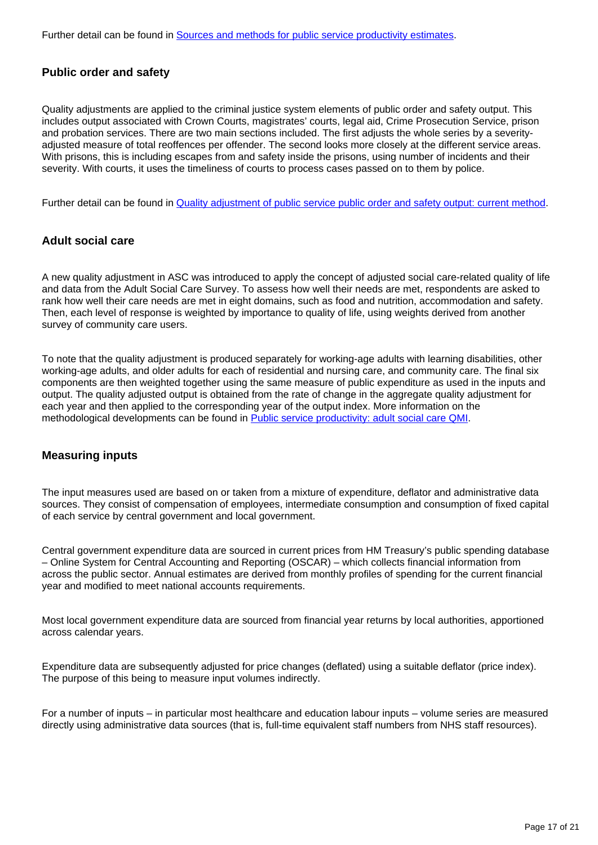Further detail can be found in [Sources and methods for public service productivity estimates.](https://www.ons.gov.uk/economy/economicoutputandproductivity/publicservicesproductivity/methodologies/sourcesandmethodsforpublicserviceproductivityestimates)

### **Public order and safety**

Quality adjustments are applied to the criminal justice system elements of public order and safety output. This includes output associated with Crown Courts, magistrates' courts, legal aid, Crime Prosecution Service, prison and probation services. There are two main sections included. The first adjusts the whole series by a severityadjusted measure of total reoffences per offender. The second looks more closely at the different service areas. With prisons, this is including escapes from and safety inside the prisons, using number of incidents and their severity. With courts, it uses the timeliness of courts to process cases passed on to them by police.

Further detail can be found in [Quality adjustment of public service public order and safety output: current method](https://www.ons.gov.uk/economy/economicoutputandproductivity/publicservicesproductivity/methodologies/qualityadjustmentofpublicservicepublicorderandsafetyoutputcurrentmethod).

### **Adult social care**

A new quality adjustment in ASC was introduced to apply the concept of adjusted social care-related quality of life and data from the Adult Social Care Survey. To assess how well their needs are met, respondents are asked to rank how well their care needs are met in eight domains, such as food and nutrition, accommodation and safety. Then, each level of response is weighted by importance to quality of life, using weights derived from another survey of community care users.

To note that the quality adjustment is produced separately for working-age adults with learning disabilities, other working-age adults, and older adults for each of residential and nursing care, and community care. The final six components are then weighted together using the same measure of public expenditure as used in the inputs and output. The quality adjusted output is obtained from the rate of change in the aggregate quality adjustment for each year and then applied to the corresponding year of the output index. More information on the methodological developments can be found in [Public service productivity: adult social care QMI](https://www.ons.gov.uk/economy/economicoutputandproductivity/publicservicesproductivity/methodologies/publicserviceproductivityadultsocialcareqmi).

#### **Measuring inputs**

The input measures used are based on or taken from a mixture of expenditure, deflator and administrative data sources. They consist of compensation of employees, intermediate consumption and consumption of fixed capital of each service by central government and local government.

Central government expenditure data are sourced in current prices from HM Treasury's public spending database – Online System for Central Accounting and Reporting (OSCAR) – which collects financial information from across the public sector. Annual estimates are derived from monthly profiles of spending for the current financial year and modified to meet national accounts requirements.

Most local government expenditure data are sourced from financial year returns by local authorities, apportioned across calendar years.

Expenditure data are subsequently adjusted for price changes (deflated) using a suitable deflator (price index). The purpose of this being to measure input volumes indirectly.

For a number of inputs – in particular most healthcare and education labour inputs – volume series are measured directly using administrative data sources (that is, full-time equivalent staff numbers from NHS staff resources).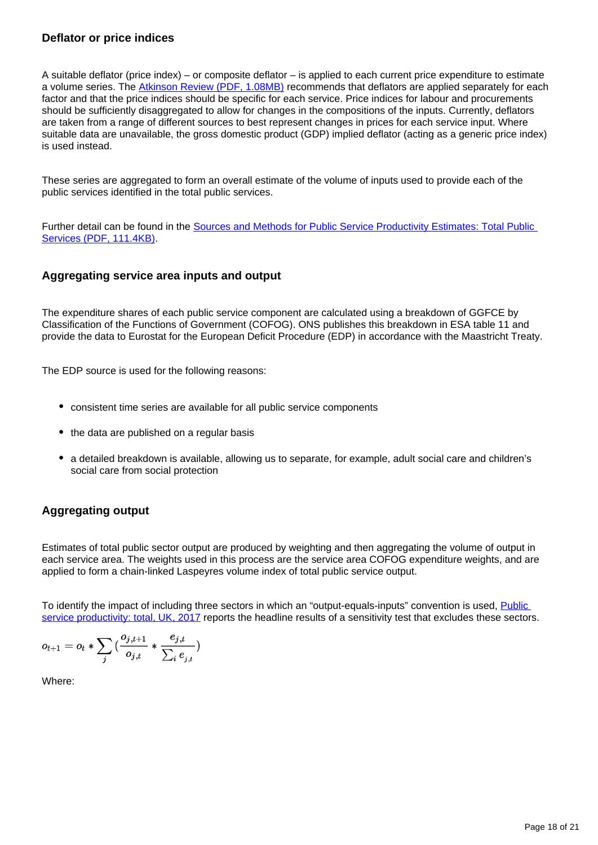### **Deflator or price indices**

A suitable deflator (price index) – or composite deflator – is applied to each current price expenditure to estimate a volume series. The [Atkinson Review \(PDF, 1.08MB\)](http://www.ons.gov.uk/ons/guide-method/method-quality/specific/public-sector-methodology/articles/atkinson-review-final-report.pdf) recommends that deflators are applied separately for each factor and that the price indices should be specific for each service. Price indices for labour and procurements should be sufficiently disaggregated to allow for changes in the compositions of the inputs. Currently, deflators are taken from a range of different sources to best represent changes in prices for each service input. Where suitable data are unavailable, the gross domestic product (GDP) implied deflator (acting as a generic price index) is used instead.

These series are aggregated to form an overall estimate of the volume of inputs used to provide each of the public services identified in the total public services.

Further detail can be found in the [Sources and Methods for Public Service Productivity Estimates: Total Public](https://www.ons.gov.uk/ons/guide-method/method-quality/specific/public-sector-methodology/articles/sources-and-methods.pdf)  [Services \(PDF, 111.4KB\).](https://www.ons.gov.uk/ons/guide-method/method-quality/specific/public-sector-methodology/articles/sources-and-methods.pdf)

### **Aggregating service area inputs and output**

The expenditure shares of each public service component are calculated using a breakdown of GGFCE by Classification of the Functions of Government (COFOG). ONS publishes this breakdown in ESA table 11 and provide the data to Eurostat for the European Deficit Procedure (EDP) in accordance with the Maastricht Treaty.

The EDP source is used for the following reasons:

- consistent time series are available for all public service components
- the data are published on a regular basis
- a detailed breakdown is available, allowing us to separate, for example, adult social care and children's social care from social protection

### **Aggregating output**

Estimates of total public sector output are produced by weighting and then aggregating the volume of output in each service area. The weights used in this process are the service area COFOG expenditure weights, and are applied to form a chain-linked Laspeyres volume index of total public service output.

To identify the impact of including three sectors in which an "output-equals-inputs" convention is used, [Public](https://www.ons.gov.uk/economy/economicoutputandproductivity/publicservicesproductivity/articles/publicservicesproductivityestimatestotalpublicservices/totaluk2017)  [service productivity: total, UK, 2017](https://www.ons.gov.uk/economy/economicoutputandproductivity/publicservicesproductivity/articles/publicservicesproductivityestimatestotalpublicservices/totaluk2017) reports the headline results of a sensitivity test that excludes these sectors.

$$
o_{t+1} = o_t * \sum_j \big( \frac{o_{j,t+1}}{o_{j,t}} * \frac{e_{j,t}}{\sum_i e_{_{j,t}}}\big)
$$

Where: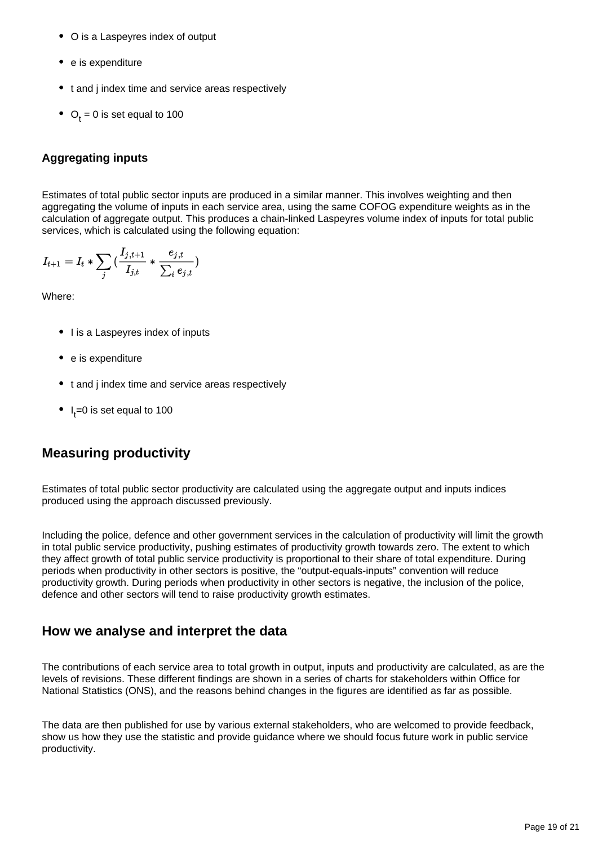- O is a Laspeyres index of output
- e is expenditure
- t and j index time and service areas respectively
- $\bullet$  O<sub>t</sub> = 0 is set equal to 100

### **Aggregating inputs**

Estimates of total public sector inputs are produced in a similar manner. This involves weighting and then aggregating the volume of inputs in each service area, using the same COFOG expenditure weights as in the calculation of aggregate output. This produces a chain-linked Laspeyres volume index of inputs for total public services, which is calculated using the following equation:

$$
I_{t+1} = I_t * \sum_j \big( \frac{I_{j,t+1}}{I_{j,t}} * \frac{e_{j,t}}{\sum_i e_{j,t}} \big)
$$

Where:

- I is a Laspeyres index of inputs
- e is expenditure
- t and j index time and service areas respectively
- $\bullet$  I<sub>t</sub>=0 is set equal to 100

# **Measuring productivity**

Estimates of total public sector productivity are calculated using the aggregate output and inputs indices produced using the approach discussed previously.

Including the police, defence and other government services in the calculation of productivity will limit the growth in total public service productivity, pushing estimates of productivity growth towards zero. The extent to which they affect growth of total public service productivity is proportional to their share of total expenditure. During periods when productivity in other sectors is positive, the "output-equals-inputs" convention will reduce productivity growth. During periods when productivity in other sectors is negative, the inclusion of the police, defence and other sectors will tend to raise productivity growth estimates.

## **How we analyse and interpret the data**

The contributions of each service area to total growth in output, inputs and productivity are calculated, as are the levels of revisions. These different findings are shown in a series of charts for stakeholders within Office for National Statistics (ONS), and the reasons behind changes in the figures are identified as far as possible.

The data are then published for use by various external stakeholders, who are welcomed to provide feedback, show us how they use the statistic and provide guidance where we should focus future work in public service productivity.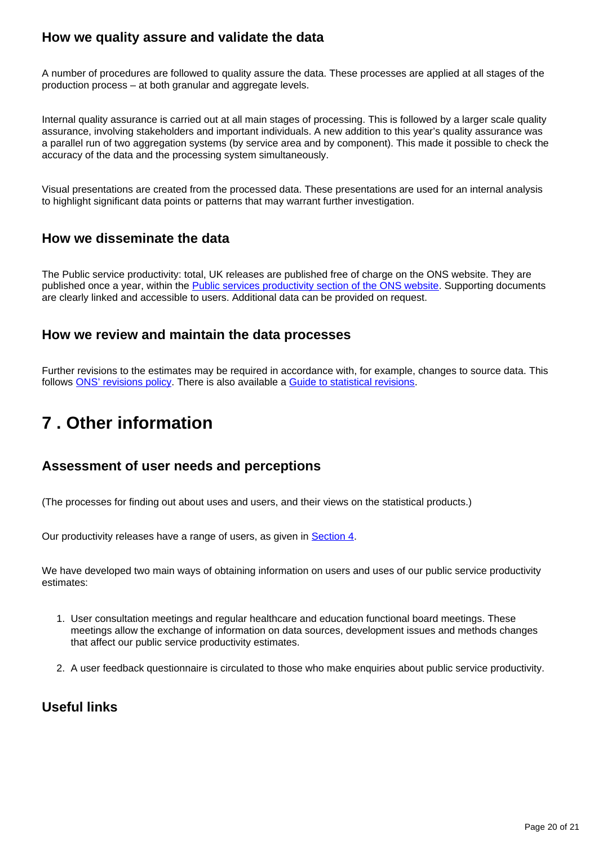# **How we quality assure and validate the data**

A number of procedures are followed to quality assure the data. These processes are applied at all stages of the production process – at both granular and aggregate levels.

Internal quality assurance is carried out at all main stages of processing. This is followed by a larger scale quality assurance, involving stakeholders and important individuals. A new addition to this year's quality assurance was a parallel run of two aggregation systems (by service area and by component). This made it possible to check the accuracy of the data and the processing system simultaneously.

Visual presentations are created from the processed data. These presentations are used for an internal analysis to highlight significant data points or patterns that may warrant further investigation.

## **How we disseminate the data**

The Public service productivity: total, UK releases are published free of charge on the ONS website. They are published once a year, within the **[Public services productivity section of the ONS website](https://www.ons.gov.uk/economy/economicoutputandproductivity/publicservicesproductivity)**. Supporting documents are clearly linked and accessible to users. Additional data can be provided on request.

## **How we review and maintain the data processes**

Further revisions to the estimates may be required in accordance with, for example, changes to source data. This follows [ONS' revisions policy.](https://www.ons.gov.uk/methodology/methodologytopicsandstatisticalconcepts/revisions/revisionspoliciesforeconomicstatistics) There is also available a [Guide to statistical revisions](https://www.ons.gov.uk/methodology/methodologytopicsandstatisticalconcepts/revisions/guidetostatisticalrevisions).

# <span id="page-19-0"></span>**7 . Other information**

## **Assessment of user needs and perceptions**

(The processes for finding out about uses and users, and their views on the statistical products.)

Our productivity releases have a range of users, as given in [Section 4.](https://www.ons.gov.uk/economy/economicoutputandproductivity/publicservicesproductivity/methodologies/publicserviceproductivityestimatestotalpublicservicesqmi#quality-summary)

We have developed two main ways of obtaining information on users and uses of our public service productivity estimates:

- 1. User consultation meetings and regular healthcare and education functional board meetings. These meetings allow the exchange of information on data sources, development issues and methods changes that affect our public service productivity estimates.
- 2. A user feedback questionnaire is circulated to those who make enquiries about public service productivity.

# **Useful links**